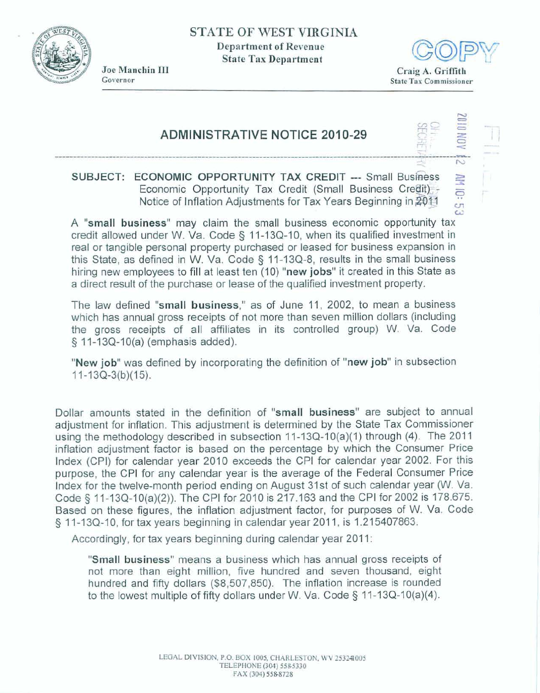**STATE OF WEST VIRGINIA Department of Revenue** 

**State Tax Department** 



**Jae Manchin** Ill **Governor** 



**AM 10: 5:** 

## **ADMINISTRATIVE NOTICE 2010-29**

## **SUBJECT: ECONOMIC OPPORTUNITY TAX CREDIT --- Small Business**<br>**Economic Opportunity Tax Credit (Small Business Credit) Notice of Inflation Adjustments for Tax Years Beginning in 2011**

**A "small business" may claim the small business economic** opportunity **tax**  credit allowed under W. Va. Code § 11-13Q-10, when its qualified investment in **real** or **tangible personal property purchased or leased for business expansion in this State, as defined in W. Va. Code** *5* 11-13Q-8, **results in the** small **business hiring new emptoyees** to **fill at least ten** (10) **"new jobs" it created in this** State **as a direct result of the purchase or lease of the qualified investment property.** 

The **law defined "small business," as** of June **11, 2002,** to mean a **business which has** annual **gross receipts** of not more **than seven million dollars** (including **the gross receipts of all affiliates in its controlled group)** W. **Va. Code**  *5* **1 1-1 3Q-10(a) (emphasis added).** 

**"New job" was defined by incorporating the definition of "new job"** in **subsection 'New job**" was de<br>11-13Q-3(b)(15).

**Dollar amounts stated in the definition of "small business" are subject** to **annual adjustment for inflation. This adjustment is determined by the State Tax Commissioner**  using the methodology described in subsection 11-13Q-10(a)(1) through (4). The 2011 **inflation adjustment factor is based on the percentage by which the Consumer Price**  Index (CPI) for calendar year 2010 exceeds the CPI for calendar year 2002. For this **purpose, the** CPI for any calendar **year is** the **average** of **the Federal Consumer Price Index for the twelve-month period ending on August 31 st of such** calendar **year** (W. **Va. Code 3 11-13Q-10(a)(2)).** The CP! **for 2010 is 217.163 and the CPI for 2002 is 178.675.**  Based on these figures, the UPI for 2010 is 217.105 and the UPI for 2002 is 176.075.<br>Based on these figures, the inflation adjustment factor, for purposes of W. Va. Code<br>§ 11-13Q-10, for tax years beginning in calendar yea

Accordingly, for tax years beginning during calendar year 2011:

"Small business" means a business which has annual gross receipts of **not more than eight million, five hundred and seven thousand, eight hundred and** fifty **dollars (\$8,507,850).** The **inflation increase is rounded**  to the lowest multiple of fifty dollars under W. Va. Code § 11-13Q-10(a)(4).